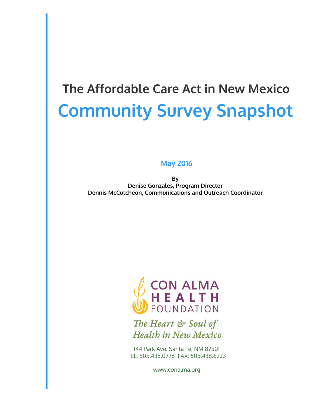# **Community Survey Snapshot The Affordable Care Act in New Mexico**

#### **May 2016**

**By Denise Gonzales, Program Director Dennis McCutcheon, Communications and Outreach Coordinator** 



The Heart & Soul of **Health in New Mexico** 

144 Park Ave. Santa Fe, NM 87501 TEL: 505.438.0776 FAX: 505.438.6223

www.conalma.org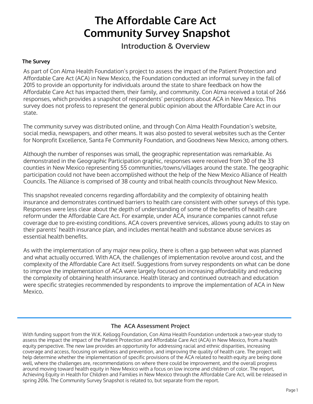### **The Affordable Care Act Community Survey Snapshot**

**Introduction & Overview**

#### **The Survey**

As part of Con Alma Health Foundation's project to assess the impact of the Patient Protection and Affordable Care Act (ACA) in New Mexico, the Foundation conducted an informal survey in the fall of 2015 to provide an opportunity for individuals around the state to share feedback on how the Affordable Care Act has impacted them, their family, and community. Con Alma received a total of 266 responses, which provides a snapshot of respondents' perceptions about ACA in New Mexico. This survey does not profess to represent the general public opinion about the Affordable Care Act in our state.

The community survey was distributed online, and through Con Alma Health Foundation's website, social media, newspapers, and other means. It was also posted to several websites such as the Center for Nonprofit Excellence, Santa Fe Community Foundation, and Goodnews New Mexico, among others.

Although the number of responses was small, the geographic representation was remarkable. As demonstrated in the Geographic Participation graphic, responses were received from 30 of the 33 counties in New Mexico representing 55 communities/towns/villages around the state. The geographic participation could not have been accomplished without the help of the New Mexico Alliance of Health Councils. The Alliance is comprised of 38 county and tribal health councils throughout New Mexico.

This snapshot revealed concerns regarding affordability and the complexity of obtaining health insurance and demonstrates continued barriers to health care consistent with other surveys of this type. Responses were less clear about the depth of understanding of some of the benefits of health care reform under the Affordable Care Act. For example, under ACA, insurance companies cannot refuse coverage due to pre-existing conditions. ACA covers preventive services, allows young adults to stay on their parents' health insurance plan, and includes mental health and substance abuse services as essential health benefits.

As with the implementation of any major new policy, there is often a gap between what was planned and what actually occurred. With ACA, the challenges of implementation revolve around cost, and the complexity of the Affordable Care Act itself. Suggestions from survey respondents on what can be done to improve the implementation of ACA were largely focused on increasing affordability and reducing the complexity of obtaining health insurance. Health literacy and continued outreach and education were specific strategies recommended by respondents to improve the implementation of ACA in New Mexico.

#### **The ACA Assessment Project**

With funding support from the W.K. Kellogg Foundation, Con Alma Health Foundation undertook a two-year study to assess the impact the impact of the Patient Protection and Affordable Care Act (ACA) in New Mexico, from a health equity perspective. The new law provides an opportunity for addressing racial and ethnic disparities, increasing coverage and access, focusing on wellness and prevention, and improving the quality of health care. The project will help determine whether the implementation of specific provisions of the ACA related to health equity are being done well, where the challenges are, recommendations on where there could be improvement, and the overall progress around moving toward health equity in New Mexico with a focus on low income and children of color. The report, Achieving Equity in Health for Children and Families in New Mexico through the Affordable Care Act, will be released in spring 2016. The Community Survey Snapshot is related to, but separate from the report.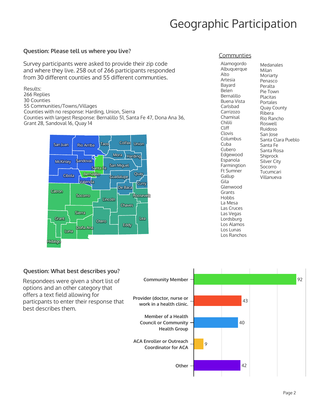### Geographic Participation

### **Question: Please tell us where you live?** And the communities communities

Survey participants were asked to provide their zip code and where they live. 258 out of 266 participants responded from 30 different counties and 55 different communties.

Results: 266 Replies 30 Counties 55 Communities/Towns/Villages Counties with no response: Harding, Union, Sierra Counties with largest Response: Bernalillo 51, Santa Fe 47, Dona Ana 36, Grant 28, Sandoval 16, Quay 14



Alamogordo Albuquerque Alto Artesia Bayard Belen Bernalillo Buena Vista Carlsbad Carrizozo Chamisal **Chilili** Cliff Clovis Columbus Cuba Cubero Edgewood Espanola Farmingtion **Ft Sumner Gallup** Gila Glenwood Grants **Hobbs** La Mesa Las Cruces Las Vegas Lordsburg Los Alamos Los Lunas Los Ranchos

Medanales Milan Moriarty Penasco Peralta Pie Town Placitas Portales Quay County Ribera Rio Rancho Roswell Ruidoso San Jose Santa Clara Pueblo Santa Fe Santa Rosa **Shiprock Silver City** Socorro Tucumcari Villanueva

#### **Question: What best describes you?**

Respondees were given a short list of options and an other category that offers a text field allowing for particpants to enter their response that best describes them.

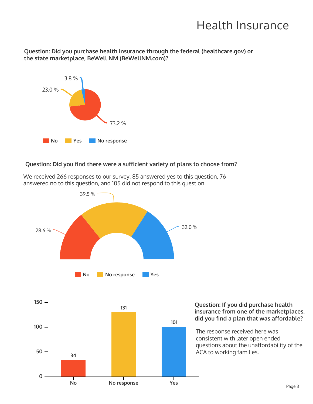### Health Insurance

Question: Did you purchase health insurance through the federal (healthcare.gov) or the state marketplace, BeWell NM (BeWellNM.com)?



#### **Question: Did you find there were a sufficient variety of plans to choose from?**



We received 266 responses to our survey. 85 answered yes to this question, 76 answered no to this question, and 105 did not respond to this question.



### insurance from one of the marketplaces, did you find a plan that was affordable?

questions about the unaffordability of the The response received here was consistent with later open ended ACA to working families.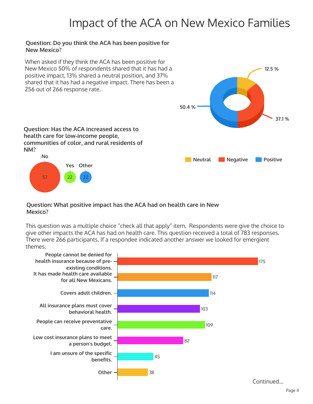### Impact of the ACA on New Mexico Families

#### **Question: Do you think the ACA has been positive for New Mexico?**



#### **Question: What positive impact has the ACA had on health care in New Mexico?**

This question was a multiple choice "check all that apply" item. Respondents were give the choice to give other impacts the ACA has had on health care. This question received a total of 783 responses. There were 266 participants. If a respondee indicated another answer we looked for emergient themes.

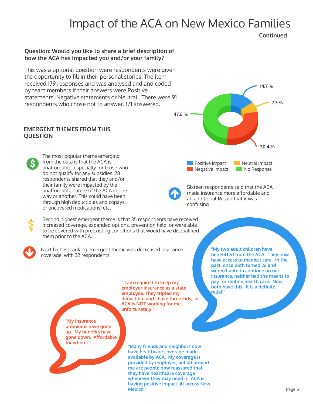### Impact of the ACA on New Mexico Families

**Continued**

#### **Question: Would you like to share a brief description of** how the ACA has impacted you and/or your family?

This was a optional question were respondents were given the opportunity to fill in their personal stories. The item received 179 responses and was analysed and and coded by team members if their answers were Positive statements, Negative statements or Neutral . There were 91 respondents who chose not to answer. 171 answered.

#### **EMERGENT THEMES FROM THIS QUESTION**



The most popular theme emerging from the data is that the ACA is unaffordable, especially for those who do not qualify for any subsidies. 78 respondents shared that they and/or their family were impacted by the unaffordable nature of the ACA in one way or another. This could have been through high deductibles and copays, or uncovered medications, etc.

**14.7 % 7.3 % 30.4 % 47.6 %** Positive Impact Neutral Impact Negative Impact No Response



Sixteen respondents said that the ACA made insurance more affordable and an additional 16 said that it was confusing



Second highest emergent theme is that 35 respondents have received increased coverage, expanded options, prevention help, or were able to be covered with preexisting conditions that would have disqualified them prior to the ACA.



Next highest ranking emergent theme was decreased insurance coverage, with 32 respondents.

> **" I am required to keep my employer insurance as a state employee.** They tripled my deductible and I have three kids, so **ACA** is NOT working for me, **unfortunately."**

**"My insurance premiums have gone up. My benefits have gone down. Affordable** for whom?

**Many friends and neighbors now have healthcare coverage made** available by ACA. My coverage is provided by employer, but all around me are people now reassured that **they have healthcare coverage whenever they may need it. ACA is having positive impact all across New Mexico!"**

**My two adult children have benefitted from the ACA. They now** have access to medical care. In the **past, once both turned 26 and weren't able to continue on our insurance, neither had the means to** pay for routine health care. Now **both have this. It is a definite relief."**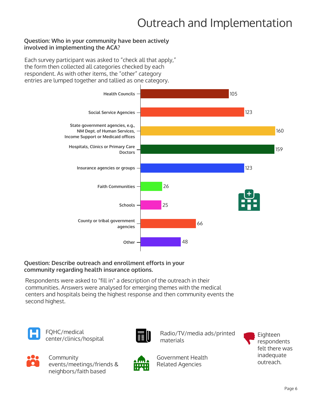## Outreach and Implementation

#### **Question: Who in your community have been actively involved in implementing the ACA?**

Each survey participant was asked to "check all that apply," the form then collected all categories checked by each respondent. As with other items, the "other" category entries are lumped together and tallied as one category.



#### **Question: Describe outreach and enrollment efforts in your** community regarding health insurance options.

Respondents were asked to "fill in" a description of the outreach in their communities. Answers were analysed for emerging themes with the medical centers and hospitals being the highest response and then community events the second highest.



FQHC/medical



PUHC/medical Eighteen<br>
Center/clinics/hospital Eighteen<br>
Center/clinics/hospital Eighteen materials



**Community** events/meetings/friends & neighbors/faith based



Government Health Related Agencies